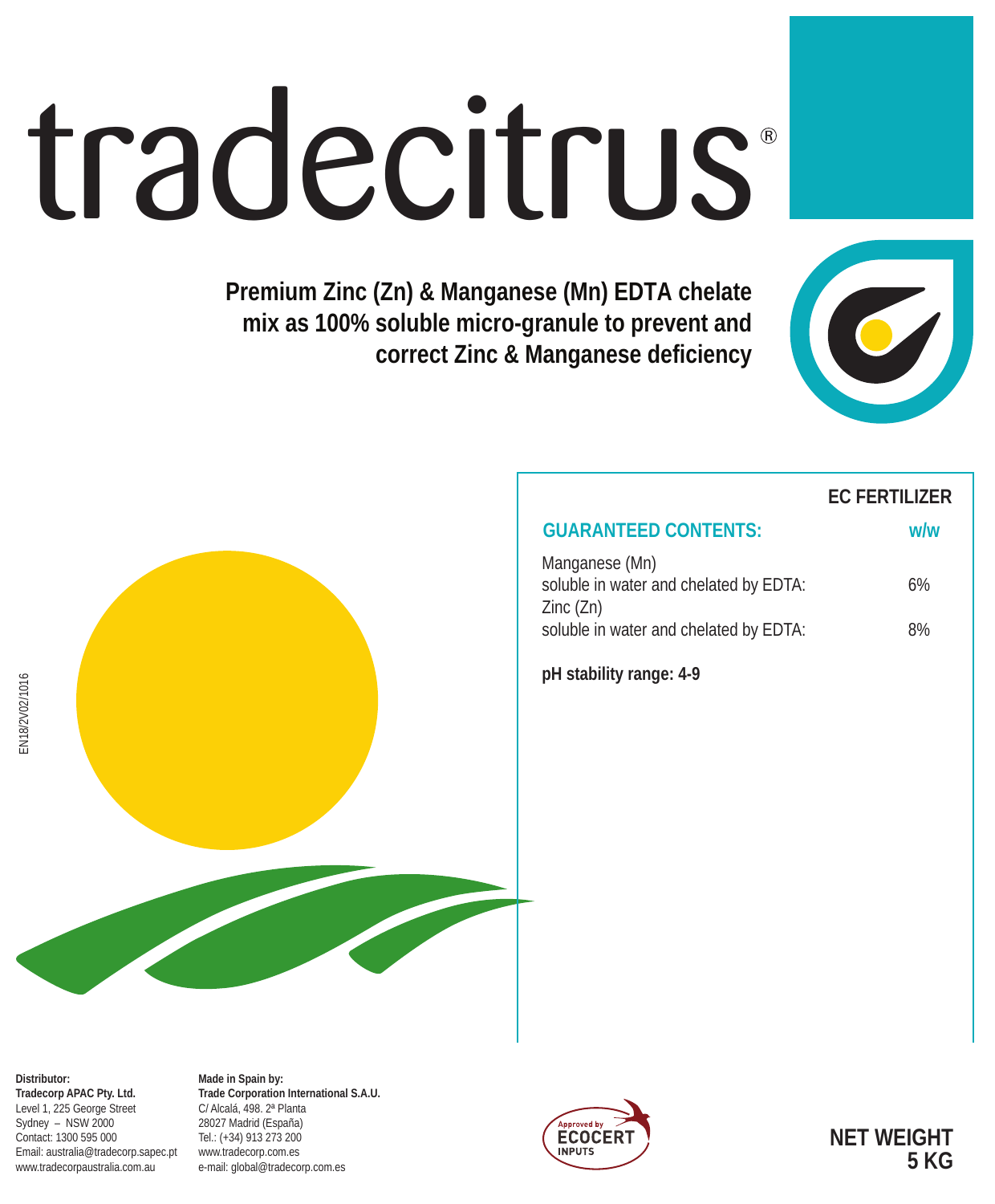# tradecitrus

**Premium Zinc (Zn) & Manganese (Mn) EDTA chelate mix as 100% soluble micro-granule to prevent and correct Zinc & Manganese deficiency** 



**EC FERTILIZER**

### **GUARANTEED CONTENTS: w/w** Manganese (Mn) soluble in water and chelated by EDTA: 6% Zinc (Zn) soluble in water and chelated by EDTA: 8% **pH stability range: 4-9**

**Distributor: Tradecorp APAC Pty. Ltd.** Level 1, 225 George Street Sydney – NSW 2000 Contact: 1300 595 000 Email: australia@tradecorp.sapec.pt www.tradecorpaustralia.com.au

**Made in Spain by: Trade Corporation International S.A.U.** C/ Alcalá, 498. 2ª Planta 28027 Madrid (España) Tel.: (+34) 913 273 200 www.tradecorp.com.es e-mail: global@tradecorp.com.es